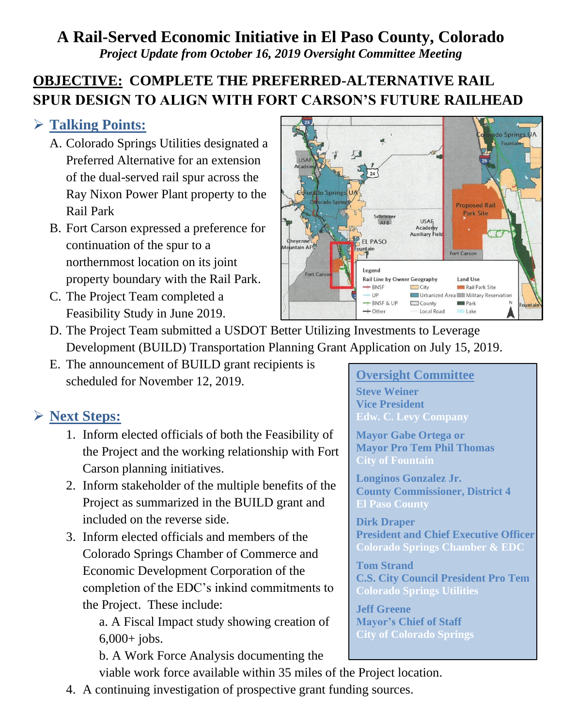#### **A Rail-Served Economic Initiative in El Paso County, Colorado** *Project Update from October 16, 2019 Oversight Committee Meeting*

### **OBJECTIVE: COMPLETE THE PREFERRED-ALTERNATIVE RAIL SPUR DESIGN TO ALIGN WITH FORT CARSON'S FUTURE RAILHEAD**

#### ➢ **Talking Points:**

- A. Colorado Springs Utilities designated a Preferred Alternative for an extension of the dual-served rail spur across the Ray Nixon Power Plant property to the Rail Park
- B. Fort Carson expressed a preference for continuation of the spur to a northernmost location on its joint property boundary with the Rail Park.
- C. The Project Team completed a Feasibility Study in June 2019.



- D. The Project Team submitted a USDOT Better Utilizing Investments to Leverage Development (BUILD) Transportation Planning Grant Application on July 15, 2019.
- E. The announcement of BUILD grant recipients is scheduled for November 12, 2019.

#### ➢ **Next Steps:**

- 1. Inform elected officials of both the Feasibility of the Project and the working relationship with Fort Carson planning initiatives.
- 2. Inform stakeholder of the multiple benefits of the Project as summarized in the BUILD grant and included on the reverse side.
- 3. Inform elected officials and members of the Colorado Springs Chamber of Commerce and Economic Development Corporation of the completion of the EDC's inkind commitments to the Project. These include:

a. A Fiscal Impact study showing creation of 6,000+ jobs.

b. A Work Force Analysis documenting the viable work force available within 35 miles of the Project location.

# **Oversight Committee**

**Steve Weiner Vice President Edw. C. Levy Company**

**Mayor Gabe Ortega or Mayor Pro Tem Phil Thomas**

**Longinos Gonzalez Jr. County Commissioner, District 4 El Paso County**

**Dirk Draper President and Chief Executive Officer Colorado Springs Chamber & EDC**

**Tom Strand C.S. City Council President Pro Tem Colorado Springs Utilities**

**Jeff Greene Mayor's Chief of Staff City of Colorado Springs**

4. A continuing investigation of prospective grant funding sources.